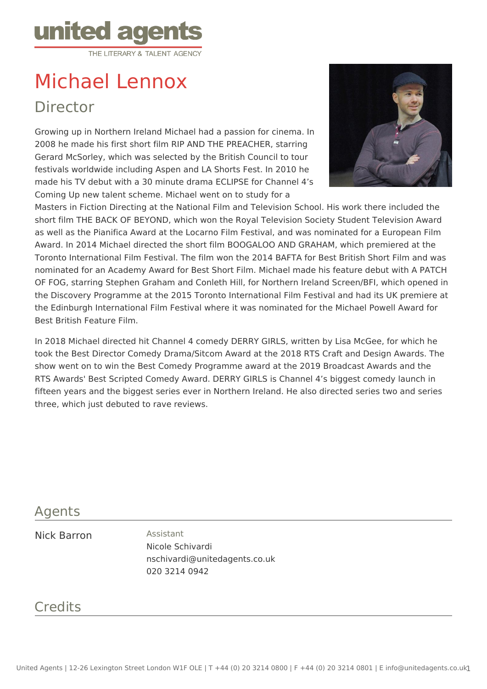

# Michael Lennox Director

Growing up in Northern Ireland Michael had a passion for cinema. In 2008 he made his first short film RIP AND THE PREACHER, starring Gerard McSorley, which was selected by the British Council to tour festivals worldwide including Aspen and LA Shorts Fest. In 2010 he made his TV debut with a 30 minute drama ECLIPSE for Channel 4's Coming Up new talent scheme. Michael went on to study for a



Masters in Fiction Directing at the National Film and Television School. His work there included the short film THE BACK OF BEYOND, which won the Royal Television Society Student Television Award as well as the Pianifica Award at the Locarno Film Festival, and was nominated for a European Film Award. In 2014 Michael directed the short film BOOGALOO AND GRAHAM, which premiered at the Toronto International Film Festival. The film won the 2014 BAFTA for Best British Short Film and was nominated for an Academy Award for Best Short Film. Michael made his feature debut with A PATCH OF FOG, starring Stephen Graham and Conleth Hill, for Northern Ireland Screen/BFI, which opened in the Discovery Programme at the 2015 Toronto International Film Festival and had its UK premiere at the Edinburgh International Film Festival where it was nominated for the Michael Powell Award for Best British Feature Film.

In 2018 Michael directed hit Channel 4 comedy DERRY GIRLS, written by Lisa McGee, for which he took the Best Director Comedy Drama/Sitcom Award at the 2018 RTS Craft and Design Awards. The show went on to win the Best Comedy Programme award at the 2019 Broadcast Awards and the RTS Awards' Best Scripted Comedy Award. DERRY GIRLS is Channel 4's biggest comedy launch in fifteen years and the biggest series ever in Northern Ireland. He also directed series two and series three, which just debuted to rave reviews.

#### Agents

#### Nick Barron Assistant

Nicole Schivardi nschivardi@unitedagents.co.uk 020 3214 0942

## **Credits**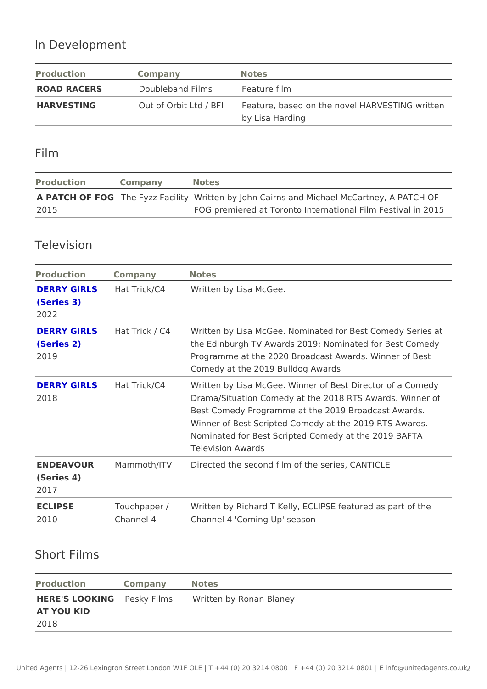# In Development

| Production  | Company                       | Notes                                                                     |
|-------------|-------------------------------|---------------------------------------------------------------------------|
| ROAD RACERS | Doubleband Films Feature film |                                                                           |
| HARVESTING  |                               | Out of Orbit Ltd / FBeFalture, based on the novel <code>HARVESTING</code> |
|             |                               | by Lisa Harding                                                           |

#### Film

| Production | Company | Notes                                                                      |  |                                                   |  |
|------------|---------|----------------------------------------------------------------------------|--|---------------------------------------------------|--|
|            |         | A PATCH OF FOGe Fyzz FadWlrittyten by John Cairns and Michael McCartney, A |  |                                                   |  |
| 2015       |         |                                                                            |  | FOG premiered at Toronto International Film Festi |  |

#### Television

| Production Company     |           | Notes                                                                                                                                                                                                                                                                                                      |
|------------------------|-----------|------------------------------------------------------------------------------------------------------------------------------------------------------------------------------------------------------------------------------------------------------------------------------------------------------------|
| (Series 3)<br>2022     |           | DERRY GIRLSHat Trick/C4 Written by Lisa McGee.                                                                                                                                                                                                                                                             |
| (Series 2)<br>2019     |           | DERRY GIRLSHat Trick / C Written by Lisa McGee. Nominated for Best Comedy<br>the Edinburgh TV Awards 2019; Nominated for Best<br>Programme at the 2020 Broadcast Awards. Winner<br>Comedy at the 2019 Bulldog Awards                                                                                       |
| 2018                   |           | DERRY GIRLSHat Trick/C4 Written by Lisa McGee. Winner of Best Director of<br>Drama/Situation Comedy at the 2018 RTS Awards.<br>Best Comedy Programme at the 2019 Broadcast Aw<br>Winner of Best Scripted Comedy at the 2019 RTS A<br>Nominated for Best Scripted Comedy at the 2019 B<br>Television Awards |
| (Series 4)<br>2017     |           | ENDEAVOUR Mammoth/ITVDirected the second film of the series, CANTICLE                                                                                                                                                                                                                                      |
| <b>ECLIPSE</b><br>2010 | Channel 4 | Touchpaper / Written by Richard T Kelly, ECLIPSE featured as p<br>Channel 4 'Coming Up' season                                                                                                                                                                                                             |

## Short Films

| Production Company Notes                         |  |  |  |
|--------------------------------------------------|--|--|--|
| HERE'S LOOKINPGesky FilmsWritten by Ronan Blaney |  |  |  |
| AT YOU KID                                       |  |  |  |
| 2018                                             |  |  |  |